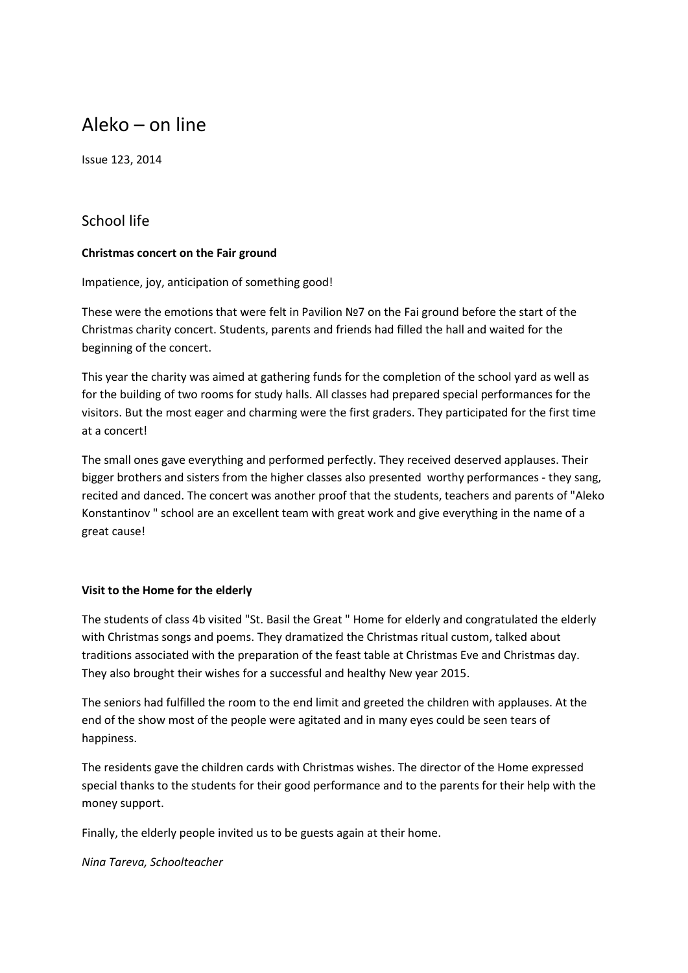# Aleko – on line

Issue 123, 2014

### School life

#### **Christmas concert on the Fair ground**

Impatience, joy, anticipation of something good!

These were the emotions that were felt in Pavilion №7 on the Fai ground before the start of the Christmas charity concert. Students, parents and friends had filled the hall and waited for the beginning of the concert.

This year the charity was aimed at gathering funds for the completion of the school yard as well as for the building of two rooms for study halls. All classes had prepared special performances for the visitors. But the most eager and charming were the first graders. They participated for the first time at a concert!

The small ones gave everything and performed perfectly. They received deserved applauses. Their bigger brothers and sisters from the higher classes also presented worthy performances - they sang, recited and danced. The concert was another proof that the students, teachers and parents of "Aleko Konstantinov " school are an excellent team with great work and give everything in the name of a great cause!

#### **Visit to the Home for the elderly**

The students of class 4b visited "St. Basil the Great " Home for elderly and congratulated the elderly with Christmas songs and poems. They dramatized the Christmas ritual custom, talked about traditions associated with the preparation of the feast table at Christmas Eve and Christmas day. They also brought their wishes for a successful and healthy New year 2015.

The seniors had fulfilled the room to the end limit and greeted the children with applauses. At the end of the show most of the people were agitated and in many eyes could be seen tears of happiness.

The residents gave the children cards with Christmas wishes. The director of the Home expressed special thanks to the students for their good performance and to the parents for their help with the money support.

Finally, the elderly people invited us to be guests again at their home.

*Nina Tareva, Schoolteacher*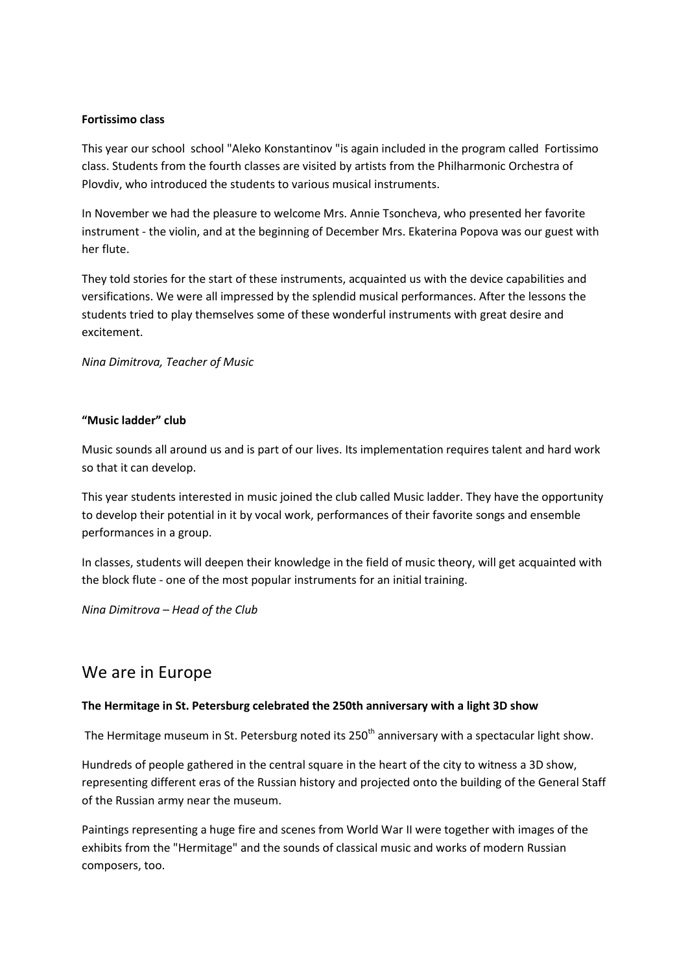#### **Fortissimo class**

This year our school school "Aleko Konstantinov "is again included in the program called Fortissimo class. Students from the fourth classes are visited by artists from the Philharmonic Orchestra of Plovdiv, who introduced the students to various musical instruments.

In November we had the pleasure to welcome Mrs. Annie Tsoncheva, who presented her favorite instrument - the violin, and at the beginning of December Mrs. Ekaterina Popova was our guest with her flute.

They told stories for the start of these instruments, acquainted us with the device capabilities and versifications. We were all impressed by the splendid musical performances. After the lessons the students tried to play themselves some of these wonderful instruments with great desire and excitement.

*Nina Dimitrova, Teacher of Music*

#### **"Music ladder" club**

Music sounds all around us and is part of our lives. Its implementation requires talent and hard work so that it can develop.

This year students interested in music joined the club called Music ladder. They have the opportunity to develop their potential in it by vocal work, performances of their favorite songs and ensemble performances in a group.

In classes, students will deepen their knowledge in the field of music theory, will get acquainted with the block flute - one of the most popular instruments for an initial training.

*Nina Dimitrova – Head of the Club*

## We are in Europe

#### **The Hermitage in St. Petersburg celebrated the 250th anniversary with a light 3D show**

The Hermitage museum in St. Petersburg noted its 250<sup>th</sup> anniversary with a spectacular light show.

Hundreds of people gathered in the central square in the heart of the city to witness a 3D show, representing different eras of the Russian history and projected onto the building of the General Staff of the Russian army near the museum.

Paintings representing a huge fire and scenes from World War II were together with images of the exhibits from the "Hermitage" and the sounds of classical music and works of modern Russian composers, too.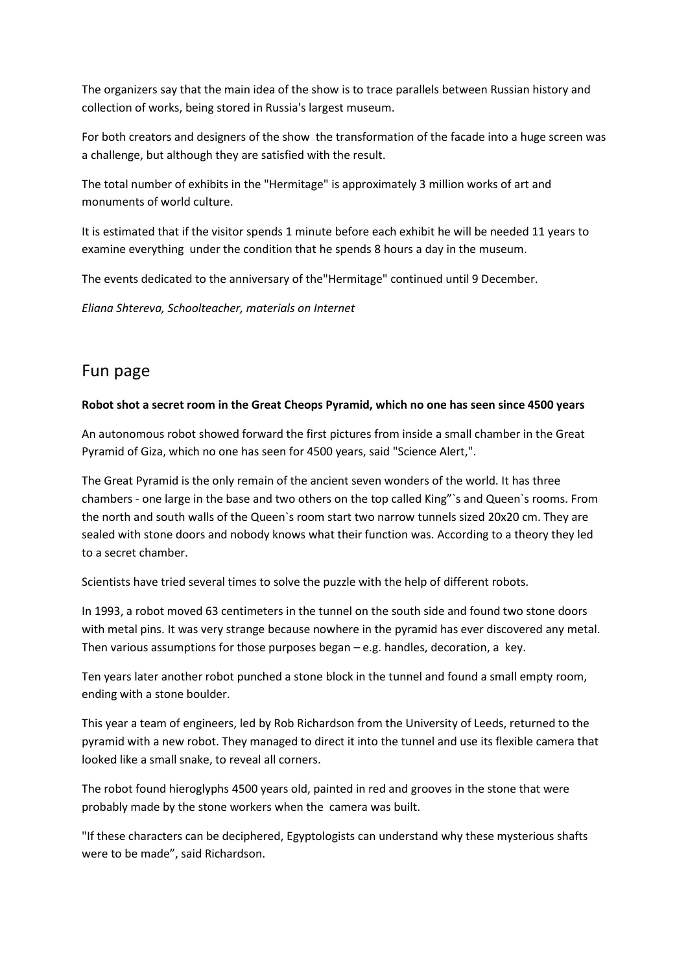The organizers say that the main idea of the show is to trace parallels between Russian history and collection of works, being stored in Russia's largest museum.

For both creators and designers of the show the transformation of the facade into a huge screen was a challenge, but although they are satisfied with the result.

The total number of exhibits in the "Hermitage" is approximately 3 million works of art and monuments of world culture.

It is estimated that if the visitor spends 1 minute before each exhibit he will be needed 11 years to examine everything under the condition that he spends 8 hours a day in the museum.

The events dedicated to the anniversary of the"Hermitage" continued until 9 December.

*Eliana Shtereva, Schoolteacher, materials on Internet*

## Fun page

#### **Robot shot a secret room in the Great Cheops Pyramid, which no one has seen since 4500 years**

An autonomous robot showed forward the first pictures from inside a small chamber in the Great Pyramid of Giza, which no one has seen for 4500 years, said "Science Alert,".

The Great Pyramid is the only remain of the ancient seven wonders of the world. It has three chambers - one large in the base and two others on the top called King"`s and Queen`s rooms. From the north and south walls of the Queen`s room start two narrow tunnels sized 20x20 cm. They are sealed with stone doors and nobody knows what their function was. According to a theory they led to a secret chamber.

Scientists have tried several times to solve the puzzle with the help of different robots.

In 1993, a robot moved 63 centimeters in the tunnel on the south side and found two stone doors with metal pins. It was very strange because nowhere in the pyramid has ever discovered any metal. Then various assumptions for those purposes began – e.g. handles, decoration, a key.

Ten years later another robot punched a stone block in the tunnel and found a small empty room, ending with a stone boulder.

This year a team of engineers, led by Rob Richardson from the University of Leeds, returned to the pyramid with a new robot. They managed to direct it into the tunnel and use its flexible camera that looked like a small snake, to reveal all corners.

The robot found hieroglyphs 4500 years old, painted in red and grooves in the stone that were probably made by the stone workers when the camera was built.

"If these characters can be deciphered, Egyptologists can understand why these mysterious shafts were to be made", said Richardson.